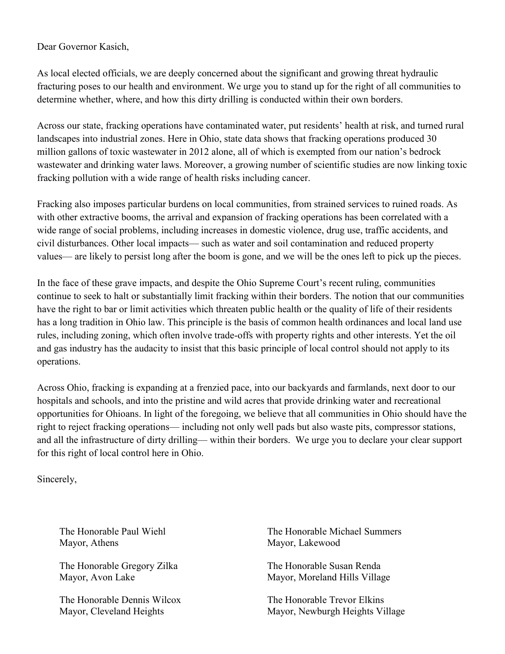Dear Governor Kasich,

As local elected officials, we are deeply concerned about the significant and growing threat hydraulic fracturing poses to our health and environment. We urge you to stand up for the right of all communities to determine whether, where, and how this dirty drilling is conducted within their own borders.

Across our state, fracking operations have contaminated water, put residents' health at risk, and turned rural landscapes into industrial zones. Here in Ohio, state data shows that fracking operations produced 30 million gallons of toxic wastewater in 2012 alone, all of which is exempted from our nation's bedrock wastewater and drinking water laws. Moreover, a growing number of scientific studies are now linking toxic fracking pollution with a wide range of health risks including cancer.

Fracking also imposes particular burdens on local communities, from strained services to ruined roads. As with other extractive booms, the arrival and expansion of fracking operations has been correlated with a wide range of social problems, including increases in domestic violence, drug use, traffic accidents, and civil disturbances. Other local impacts— such as water and soil contamination and reduced property values— are likely to persist long after the boom is gone, and we will be the ones left to pick up the pieces.

In the face of these grave impacts, and despite the Ohio Supreme Court's recent ruling, communities continue to seek to halt or substantially limit fracking within their borders. The notion that our communities have the right to bar or limit activities which threaten public health or the quality of life of their residents has a long tradition in Ohio law. This principle is the basis of common health ordinances and local land use rules, including zoning, which often involve trade-offs with property rights and other interests. Yet the oil and gas industry has the audacity to insist that this basic principle of local control should not apply to its operations.

Across Ohio, fracking is expanding at a frenzied pace, into our backyards and farmlands, next door to our hospitals and schools, and into the pristine and wild acres that provide drinking water and recreational opportunities for Ohioans. In light of the foregoing, we believe that all communities in Ohio should have the right to reject fracking operations— including not only well pads but also waste pits, compressor stations, and all the infrastructure of dirty drilling— within their borders. We urge you to declare your clear support for this right of local control here in Ohio.

Sincerely,

The Honorable Paul Wiehl Mayor, Athens

The Honorable Gregory Zilka Mayor, Avon Lake

The Honorable Dennis Wilcox Mayor, Cleveland Heights

The Honorable Michael Summers Mayor, Lakewood

The Honorable Susan Renda Mayor, Moreland Hills Village

The Honorable Trevor Elkins Mayor, Newburgh Heights Village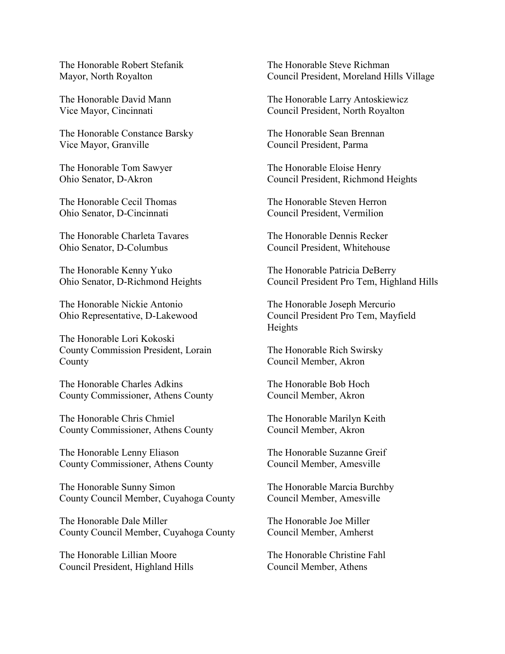The Honorable Robert Stefanik Mayor, North Royalton

The Honorable David Mann Vice Mayor, Cincinnati

The Honorable Constance Barsky Vice Mayor, Granville

The Honorable Tom Sawyer Ohio Senator, D-Akron

The Honorable Cecil Thomas Ohio Senator, D-Cincinnati

The Honorable Charleta Tavares Ohio Senator, D-Columbus

The Honorable Kenny Yuko Ohio Senator, D-Richmond Heights

The Honorable Nickie Antonio Ohio Representative, D-Lakewood

The Honorable Lori Kokoski County Commission President, Lorain County

The Honorable Charles Adkins County Commissioner, Athens County

The Honorable Chris Chmiel County Commissioner, Athens County

The Honorable Lenny Eliason County Commissioner, Athens County

The Honorable Sunny Simon County Council Member, Cuyahoga County

The Honorable Dale Miller County Council Member, Cuyahoga County

The Honorable Lillian Moore Council President, Highland Hills The Honorable Steve Richman Council President, Moreland Hills Village

The Honorable Larry Antoskiewicz Council President, North Royalton

The Honorable Sean Brennan Council President, Parma

The Honorable Eloise Henry Council President, Richmond Heights

The Honorable Steven Herron Council President, Vermilion

The Honorable Dennis Recker Council President, Whitehouse

The Honorable Patricia DeBerry Council President Pro Tem, Highland Hills

The Honorable Joseph Mercurio Council President Pro Tem, Mayfield Heights

The Honorable Rich Swirsky Council Member, Akron

The Honorable Bob Hoch Council Member, Akron

The Honorable Marilyn Keith Council Member, Akron

The Honorable Suzanne Greif Council Member, Amesville

The Honorable Marcia Burchby Council Member, Amesville

The Honorable Joe Miller Council Member, Amherst

The Honorable Christine Fahl Council Member, Athens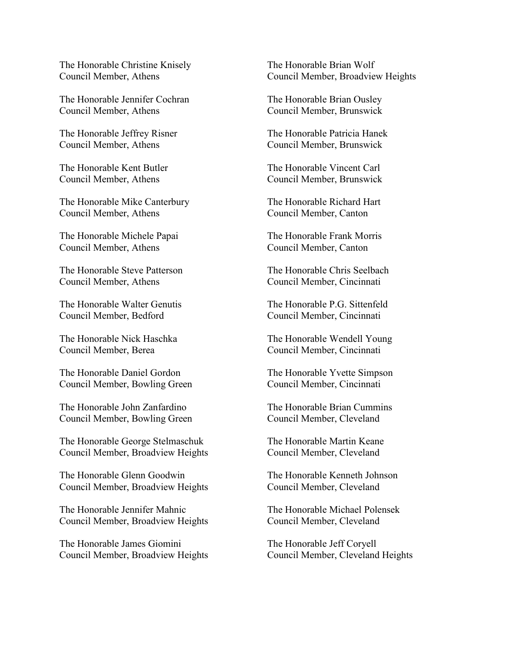The Honorable Christine Knisely Council Member, Athens

The Honorable Jennifer Cochran Council Member, Athens

The Honorable Jeffrey Risner Council Member, Athens

The Honorable Kent Butler Council Member, Athens

The Honorable Mike Canterbury Council Member, Athens

The Honorable Michele Papai Council Member, Athens

The Honorable Steve Patterson Council Member, Athens

The Honorable Walter Genutis Council Member, Bedford

The Honorable Nick Haschka Council Member, Berea

The Honorable Daniel Gordon Council Member, Bowling Green

The Honorable John Zanfardino Council Member, Bowling Green

The Honorable George Stelmaschuk Council Member, Broadview Heights

The Honorable Glenn Goodwin Council Member, Broadview Heights

The Honorable Jennifer Mahnic Council Member, Broadview Heights

The Honorable James Giomini Council Member, Broadview Heights The Honorable Brian Wolf Council Member, Broadview Heights

The Honorable Brian Ousley Council Member, Brunswick

The Honorable Patricia Hanek Council Member, Brunswick

The Honorable Vincent Carl Council Member, Brunswick

The Honorable Richard Hart Council Member, Canton

The Honorable Frank Morris Council Member, Canton

The Honorable Chris Seelbach Council Member, Cincinnati

The Honorable P.G. Sittenfeld Council Member, Cincinnati

The Honorable Wendell Young Council Member, Cincinnati

The Honorable Yvette Simpson Council Member, Cincinnati

The Honorable Brian Cummins Council Member, Cleveland

The Honorable Martin Keane Council Member, Cleveland

The Honorable Kenneth Johnson Council Member, Cleveland

The Honorable Michael Polensek Council Member, Cleveland

The Honorable Jeff Coryell Council Member, Cleveland Heights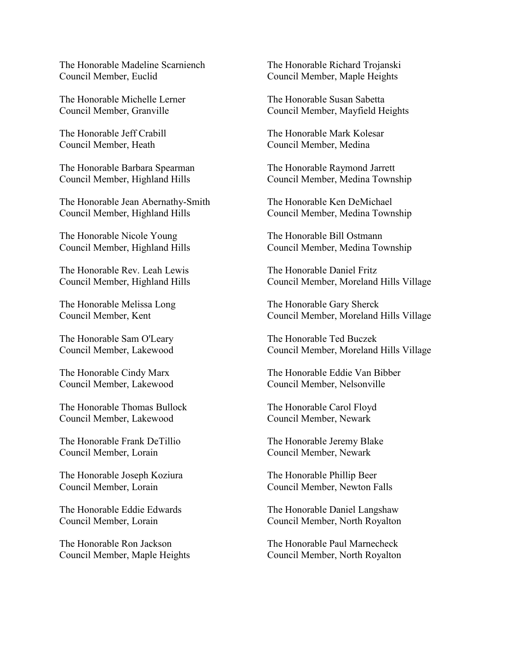The Honorable Madeline Scarniench Council Member, Euclid

The Honorable Michelle Lerner Council Member, Granville

The Honorable Jeff Crabill Council Member, Heath

The Honorable Barbara Spearman Council Member, Highland Hills

The Honorable Jean Abernathy-Smith Council Member, Highland Hills

The Honorable Nicole Young Council Member, Highland Hills

The Honorable Rev. Leah Lewis Council Member, Highland Hills

The Honorable Melissa Long Council Member, Kent

The Honorable Sam O'Leary Council Member, Lakewood

The Honorable Cindy Marx Council Member, Lakewood

The Honorable Thomas Bullock Council Member, Lakewood

The Honorable Frank DeTillio Council Member, Lorain

The Honorable Joseph Koziura Council Member, Lorain

The Honorable Eddie Edwards Council Member, Lorain

The Honorable Ron Jackson Council Member, Maple Heights The Honorable Richard Trojanski Council Member, Maple Heights

The Honorable Susan Sabetta Council Member, Mayfield Heights

The Honorable Mark Kolesar Council Member, Medina

The Honorable Raymond Jarrett Council Member, Medina Township

The Honorable Ken DeMichael Council Member, Medina Township

The Honorable Bill Ostmann Council Member, Medina Township

The Honorable Daniel Fritz Council Member, Moreland Hills Village

The Honorable Gary Sherck Council Member, Moreland Hills Village

The Honorable Ted Buczek Council Member, Moreland Hills Village

The Honorable Eddie Van Bibber Council Member, Nelsonville

The Honorable Carol Floyd Council Member, Newark

The Honorable Jeremy Blake Council Member, Newark

The Honorable Phillip Beer Council Member, Newton Falls

The Honorable Daniel Langshaw Council Member, North Royalton

The Honorable Paul Marnecheck Council Member, North Royalton